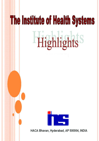# **The Institute of Health Systems** Highlights<sup>S</sup>



HACA Bhavan, Hyderabad, AP 500004, INDIA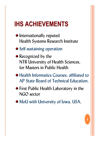## **IHS ACHIEVEMENTS IHS ACHIEVEMENTS**

- **•** Internationally reputed Health Systems Research Institute
- Self sustaining operation
- Recognized by the NTR University of Health Sciences, for Masters in Public Health
- Health Informatics Courses, affiliated to AP State Board of Technical Education.
- **•** First Public Health Laboratory in the NGO sector
- MoU with University of Iowa, USA.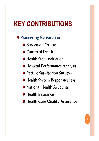## **KEY CONTRIBUTIONS KEY CONTRIBUTIONS**

### Pioneering Research on:

- **Burden of Disease**
- **Causes of Death**
- **Health State Valuation**
- **Hospital Performance Analysis**
- Patient Satisfaction Surveys
- **Health System Responsiveness**
- **National Health Accounts**
- **Health Insurance**
- Health Care Quality Assurance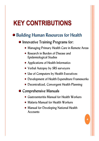## **KEY CONTRIBUTIONS KEY CONTRIBUTIONS**

## Building Human Resources for Health

#### **Innovative Training Programs for:**

- **Managing Primary Health Care in Remote Areas**
- Research in Burden of Disease and Epidemiological Studies
- Applications of Health Informatics
- Verbal Autopsy by SRS surveyors
- Use of Computers by Health Executives:
- Development of Health Expenditure Frameworks
- Decentralized, Convergent Health Planning

#### **Comprehensive Manuals**

- Gastroenteritis Manual for Health Workers
- Malaria Manual for Health Workers
- Manual for Developing National Health Accounts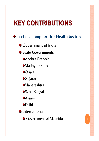# **KEY CONTRIBUTIONS KEY CONTRIBUTIONS**

Technical Support for Health Sector:

**• Government of India** 

**• State Governments** 

Andhra Pradesh

Madhya Pradesh

**Orissa** 

**Gujarat** 

**Maharashtra** 

West Bengal

**Assam** 

**ODelhi** 

**•** International

Government of Mauritius